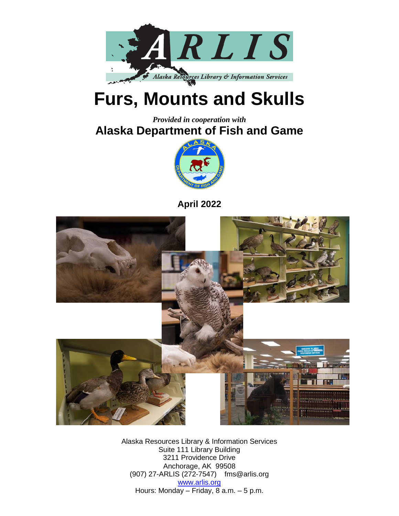

## **Furs, Mounts and Skulls**

*Provided in cooperation with* **Alaska Department of Fish and Game**



**April 2022**



Alaska Resources Library & Information Services Suite 111 Library Building 3211 Providence Drive Anchorage, AK 99508 (907) 27-ARLIS (272-7547) fms@arlis.org [www.arlis.org](http://www.arlis.org/) Hours: Monday – Friday, 8 a.m. – 5 p.m.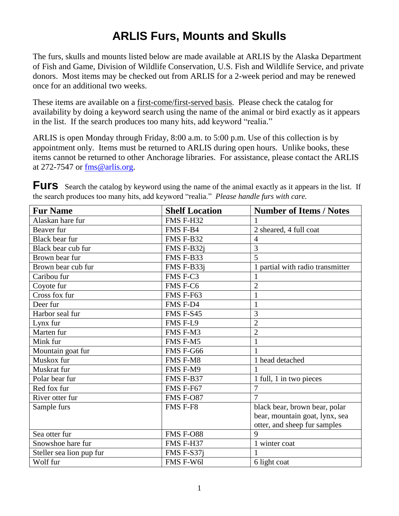## **ARLIS Furs, Mounts and Skulls**

The furs, skulls and mounts listed below are made available at ARLIS by the Alaska Department of Fish and Game, Division of Wildlife Conservation, U.S. Fish and Wildlife Service, and private donors. Most items may be checked out from ARLIS for a 2-week period and may be renewed once for an additional two weeks.

These items are available on a first-come/first-served basis. Please check the catalog for availability by doing a keyword search using the name of the animal or bird exactly as it appears in the list. If the search produces too many hits, add keyword "realia."

ARLIS is open Monday through Friday, 8:00 a.m. to 5:00 p.m. Use of this collection is by appointment only. Items must be returned to ARLIS during open hours. Unlike books, these items cannot be returned to other Anchorage libraries. For assistance, please contact the ARLIS at 272-7547 or [fms@arlis.org.](mailto:fms@arlis.org)

| <b>Fur Name</b>          | <b>Shelf Location</b> | <b>Number of Items / Notes</b>   |
|--------------------------|-----------------------|----------------------------------|
| Alaskan hare fur         | FMS F-H32             |                                  |
| Beaver fur               | FMS F-B4              | 2 sheared, 4 full coat           |
| Black bear fur           | FMS F-B32             | $\overline{4}$                   |
| Black bear cub fur       | FMS F-B32i            | 3                                |
| Brown bear fur           | FMS F-B33             | 5                                |
| Brown bear cub fur       | FMS F-B33j            | 1 partial with radio transmitter |
| Caribou fur              | FMS F-C3              |                                  |
| Coyote fur               | FMS F-C6              | $\overline{2}$                   |
| Cross fox fur            | FMS F-F63             | 1                                |
| Deer fur                 | FMS F-D4              | $\mathbf{1}$                     |
| Harbor seal fur          | FMS F-S45             | 3                                |
| Lynx fur                 | FMS F-L9              | $\overline{2}$                   |
| Marten fur               | FMS F-M3              | $\overline{2}$                   |
| Mink fur                 | FMS F-M5              | 1                                |
| Mountain goat fur        | FMS F-G66             | 1                                |
| Muskox fur               | <b>FMS F-M8</b>       | 1 head detached                  |
| Muskrat fur              | FMS F-M9              |                                  |
| Polar bear fur           | FMS F-B37             | 1 full, 1 in two pieces          |
| Red fox fur              | FMS F-F67             | 7                                |
| River otter fur          | <b>FMS F-O87</b>      | $\overline{7}$                   |
| Sample furs              | FMS F-F8              | black bear, brown bear, polar    |
|                          |                       | bear, mountain goat, lynx, sea   |
|                          |                       | otter, and sheep fur samples     |
| Sea otter fur            | <b>FMS F-O88</b>      | 9                                |
| Snowshoe hare fur        | FMS F-H37             | 1 winter coat                    |
| Steller sea lion pup fur | FMS F-S37i            | 1                                |
| Wolf fur                 | FMS F-W6l             | 6 light coat                     |

**Furs** Search the catalog by keyword using the name of the animal exactly as it appears in the list. If the search produces too many hits, add keyword "realia." *Please handle furs with care.*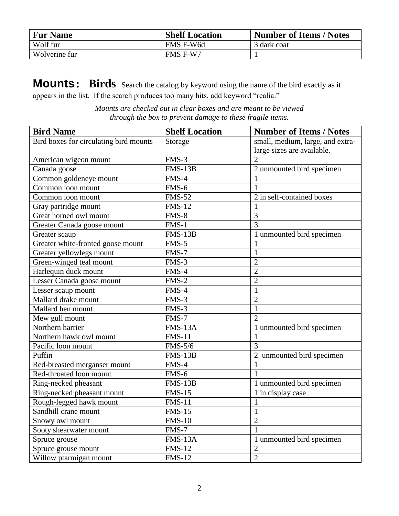| <b>Fur Name</b> | <b>Shelf Location</b> | <b>Number of Items / Notes</b> |
|-----------------|-----------------------|--------------------------------|
| Wolf fur        | FMS F-W6d             | 3 dark coat                    |
| Wolverine fur   | FMS F-W7              |                                |

**Mounts: Birds** Search the catalog by keyword using the name of the bird exactly as it appears in the list. If the search produces too many hits, add keyword "realia."

*Mounts are checked out in clear boxes and are meant to be viewed through the box to prevent damage to these fragile items.*

| <b>Bird Name</b>                       | <b>Shelf Location</b> | <b>Number of Items / Notes</b>   |
|----------------------------------------|-----------------------|----------------------------------|
| Bird boxes for circulating bird mounts | Storage               | small, medium, large, and extra- |
|                                        |                       | large sizes are available.       |
| American wigeon mount                  | $FMS-3$               | $\mathcal{D}_{\mathcal{L}}$      |
| Canada goose                           | $FMS-13B$             | 2 unmounted bird specimen        |
| Common goldeneye mount                 | FMS-4                 | 1                                |
| Common loon mount                      | FMS-6                 |                                  |
| Common loon mount                      | <b>FMS-52</b>         | 2 in self-contained boxes        |
| Gray partridge mount                   | <b>FMS-12</b>         | 1                                |
| Great horned owl mount                 | FMS-8                 | $\overline{3}$                   |
| Greater Canada goose mount             | FMS-1                 | $\overline{3}$                   |
| Greater scaup                          | $FMS-13B$             | 1 unmounted bird specimen        |
| Greater white-fronted goose mount      | FMS-5                 | $\mathbf{1}$                     |
| Greater yellowlegs mount               | FMS-7                 | $\mathbf{1}$                     |
| Green-winged teal mount                | FMS-3                 | $\overline{2}$                   |
| Harlequin duck mount                   | FMS-4                 | $\overline{2}$                   |
| Lesser Canada goose mount              | $FMS-2$               | $\overline{2}$                   |
| Lesser scaup mount                     | FMS-4                 | $\mathbf{1}$                     |
| Mallard drake mount                    | FMS-3                 | $\overline{2}$                   |
| Mallard hen mount                      | FMS-3                 | $\mathbf{1}$                     |
| Mew gull mount                         | FMS-7                 | $\overline{2}$                   |
| Northern harrier                       | FMS-13A               | 1 unmounted bird specimen        |
| Northern hawk owl mount                | <b>FMS-11</b>         | $\mathbf{1}$                     |
| Pacific loon mount                     | <b>FMS-5/6</b>        | 3                                |
| Puffin                                 | $FMS-13B$             | 2 unmounted bird specimen        |
| Red-breasted merganser mount           | FMS-4                 | $\mathbf{1}$                     |
| Red-throated loon mount                | FMS-6                 | 1                                |
| Ring-necked pheasant                   | $FMS-13B$             | 1 unmounted bird specimen        |
| Ring-necked pheasant mount             | <b>FMS-15</b>         | 1 in display case                |
| Rough-legged hawk mount                | <b>FMS-11</b>         | $\mathbf{1}$                     |
| Sandhill crane mount                   | $FMS-15$              | $\mathbf{1}$                     |
| Snowy owl mount                        | <b>FMS-10</b>         | $\overline{2}$                   |
| Sooty shearwater mount                 | FMS-7                 | $\mathbf{1}$                     |
| Spruce grouse                          | <b>FMS-13A</b>        | 1 unmounted bird specimen        |
| Spruce grouse mount                    | <b>FMS-12</b>         | $\overline{2}$                   |
| Willow ptarmigan mount                 | <b>FMS-12</b>         | $\overline{2}$                   |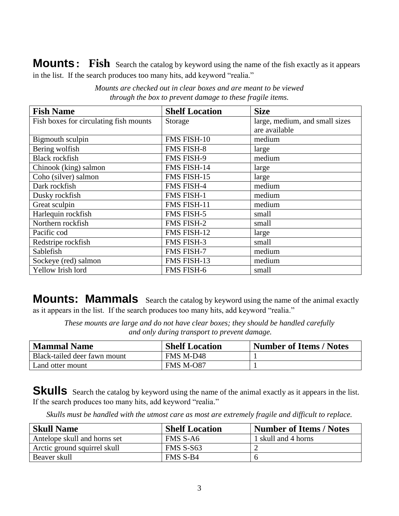**Mounts: Fish** Search the catalog by keyword using the name of the fish exactly as it appears in the list. If the search produces too many hits, add keyword "realia."

| <b>Fish Name</b>                       | <b>Shelf Location</b> | <b>Size</b>                    |
|----------------------------------------|-----------------------|--------------------------------|
| Fish boxes for circulating fish mounts | Storage               | large, medium, and small sizes |
|                                        |                       | are available                  |
| Bigmouth sculpin                       | FMS FISH-10           | medium                         |
| Bering wolfish                         | <b>FMS FISH-8</b>     | large                          |
| <b>Black rockfish</b>                  | FMS FISH-9            | medium                         |
| Chinook (king) salmon                  | FMS FISH-14           | large                          |
| Coho (silver) salmon                   | FMS FISH-15           | large                          |
| Dark rockfish                          | FMS FISH-4            | medium                         |
| Dusky rockfish                         | FMS FISH-1            | medium                         |
| Great sculpin                          | FMS FISH-11           | medium                         |
| Harlequin rockfish                     | FMS FISH-5            | small                          |
| Northern rockfish                      | <b>FMS FISH-2</b>     | small                          |
| Pacific cod                            | FMS FISH-12           | large                          |
| Redstripe rockfish                     | <b>FMS FISH-3</b>     | small                          |
| Sablefish                              | FMS FISH-7            | medium                         |
| Sockeye (red) salmon                   | FMS FISH-13           | medium                         |
| Yellow Irish lord                      | <b>FMS FISH-6</b>     | small                          |

*Mounts are checked out in clear boxes and are meant to be viewed through the box to prevent damage to these fragile items.*

**Mounts: Mammals** Search the catalog by keyword using the name of the animal exactly as it appears in the list. If the search produces too many hits, add keyword "realia."

*These mounts are large and do not have clear boxes; they should be handled carefully and only during transport to prevent damage.*

| <b>Mammal Name</b>           | <b>Shelf Location</b> | Number of Items / Notes |
|------------------------------|-----------------------|-------------------------|
| Black-tailed deer fawn mount | FMS M-D48             |                         |
| Land otter mount             | <b>FMS M-O87</b>      |                         |

**Skulls** Search the catalog by keyword using the name of the animal exactly as it appears in the list. If the search produces too many hits, add keyword "realia."

| Skulls must be handled with the utmost care as most are extremely fragile and difficult to replace. |
|-----------------------------------------------------------------------------------------------------|
|-----------------------------------------------------------------------------------------------------|

| <b>Skull Name</b>            | <b>Shelf Location</b> | <b>Number of Items / Notes</b> |
|------------------------------|-----------------------|--------------------------------|
| Antelope skull and horns set | FMS S-A6              | 1 skull and 4 horns            |
| Arctic ground squirrel skull | FMS S-S63             |                                |
| Beaver skull                 | FMS S-B4              |                                |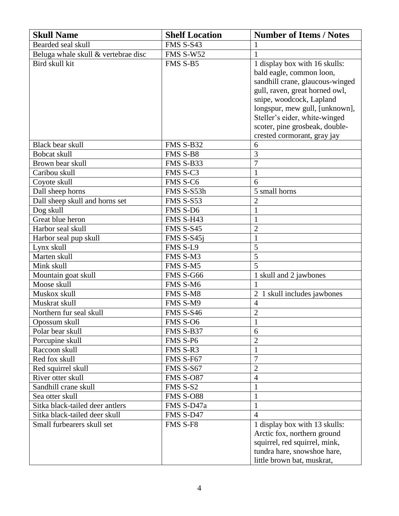| <b>Skull Name</b>                                  | <b>Shelf Location</b> | <b>Number of Items / Notes</b>  |
|----------------------------------------------------|-----------------------|---------------------------------|
| Bearded seal skull                                 | FMS S-S43             | 1                               |
| Beluga whale skull & vertebrae disc                | <b>FMS S-W52</b>      | $\mathbf{1}$                    |
| Bird skull kit                                     | FMS S-B5              | 1 display box with 16 skulls:   |
|                                                    |                       | bald eagle, common loon,        |
|                                                    |                       | sandhill crane, glaucous-winged |
|                                                    |                       | gull, raven, great horned owl,  |
|                                                    |                       | snipe, woodcock, Lapland        |
|                                                    |                       | longspur, mew gull, [unknown],  |
|                                                    |                       | Steller's eider, white-winged   |
|                                                    |                       | scoter, pine grosbeak, double-  |
|                                                    |                       | crested cormorant, gray jay     |
| Black bear skull                                   | FMS S-B32<br>FMS S-B8 | 6<br>$\overline{3}$             |
| Bobcat skull<br>Brown bear skull                   | FMS S-B33             | $\overline{7}$                  |
| Caribou skull                                      | FMS S-C3              |                                 |
|                                                    | FMS S-C6              | $\mathbf{1}$<br>6               |
| Coyote skull                                       | FMS S-S53h            | 5 small horns                   |
| Dall sheep horns<br>Dall sheep skull and horns set | <b>FMS S-S53</b>      | $\overline{c}$                  |
| Dog skull                                          | FMS S-D6              | $\mathbf{1}$                    |
| Great blue heron                                   | <b>FMS S-H43</b>      | $\mathbf{1}$                    |
| Harbor seal skull                                  | <b>FMS S-S45</b>      | $\overline{2}$                  |
| Harbor seal pup skull                              | FMS S-S45j            | $\mathbf{1}$                    |
| Lynx skull                                         | FMS S-L9              | 5                               |
| Marten skull                                       | FMS S-M3              | 5                               |
| Mink skull                                         | FMS S-M5              | 5                               |
| Mountain goat skull                                | <b>FMS S-G66</b>      | 1 skull and 2 jawbones          |
| Moose skull                                        | FMS S-M6              |                                 |
| Muskox skull                                       | FMS S-M8              | 2 1 skull includes jawbones     |
| Muskrat skull                                      | FMS S-M9              | $\overline{4}$                  |
| Northern fur seal skull                            | <b>FMS S-S46</b>      | $\overline{2}$                  |
| Opossum skull                                      | FMS S-O6              | $\,1\,$                         |
| Polar bear skull                                   | FMS S-B37             | 6                               |
| Porcupine skull                                    | FMS S-P6              | $\overline{2}$                  |
| Raccoon skull                                      | FMS S-R3              | 1                               |
| Red fox skull                                      | FMS S-F67             | 7                               |
| Red squirrel skull                                 | <b>FMS S-S67</b>      | $\overline{2}$                  |
| River otter skull                                  | <b>FMS S-O87</b>      | $\overline{4}$                  |
| Sandhill crane skull                               | FMS S-S2              | $\mathbf{1}$                    |
| Sea otter skull                                    | <b>FMS S-O88</b>      | $\mathbf{1}$                    |
| Sitka black-tailed deer antlers                    | FMS S-D47a            |                                 |
| Sitka black-tailed deer skull                      | FMS S-D47             | $\overline{4}$                  |
| Small furbearers skull set                         | FMS S-F8              | 1 display box with 13 skulls:   |
|                                                    |                       | Arctic fox, northern ground     |
|                                                    |                       | squirrel, red squirrel, mink,   |
|                                                    |                       | tundra hare, snowshoe hare,     |
|                                                    |                       | little brown bat, muskrat,      |